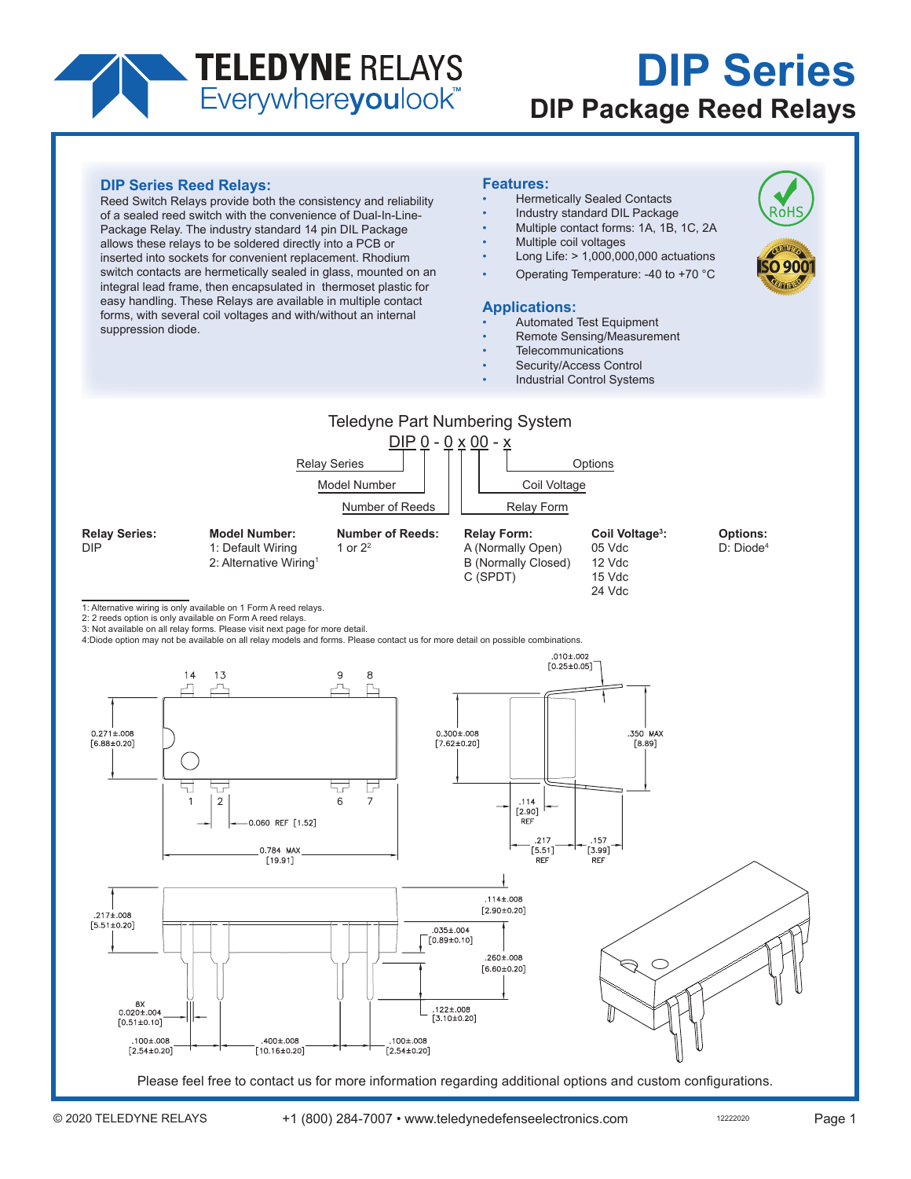# **TELEDYNE RELAYS**<br>Everywhereyoulook

# **DIP Series DIP Package Reed Relays**

Ro⊦

## **DIP Series Reed Relays:**

Reed Switch Relays provide both the consistency and reliability of a sealed reed switch with the convenience of Dual-In-Line-Package Relay. The industry standard 14 pin DIL Package allows these relays to be soldered directly into a PCB or inserted into sockets for convenient replacement. Rhodium switch contacts are hermetically sealed in glass, mounted on an integral lead frame, then encapsulated in thermoset plastic for easy handling. These Relays are available in multiple contact forms, with several coil voltages and with/without an internal suppression diode.

#### **Features:**

- Hermetically Sealed Contacts
- Industry standard DIL Package
- Multiple contact forms: 1A, 1B, 1C, 2A
- Multiple coil voltages
- Long Life: > 1,000,000,000 actuations
- Operating Temperature: -40 to +70 °C

### **Applications:**

- Automated Test Equipment
- Remote Sensing/Measurement
- **Telecommunications**
- Security/Access Control
- Industrial Control Systems